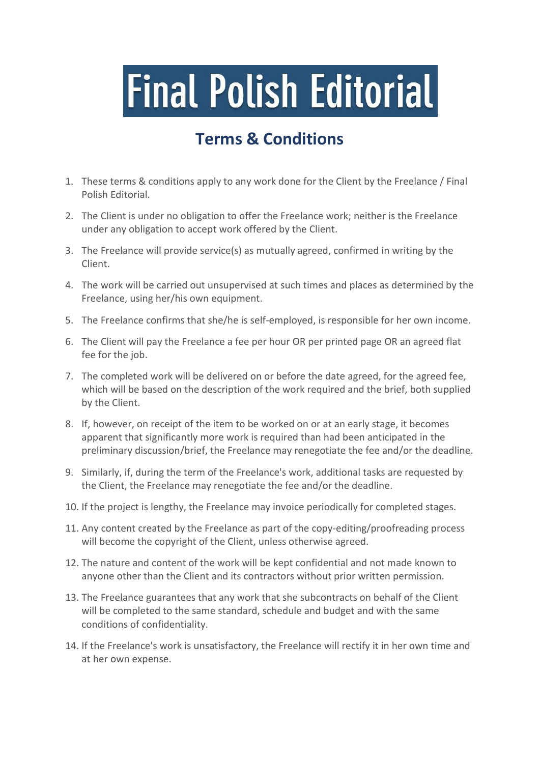## **Final Polish Editorial**

## **Terms & Conditions**

- 1. These terms & conditions apply to any work done for the Client by the Freelance / Final Polish Editorial.
- 2. The Client is under no obligation to offer the Freelance work; neither is the Freelance under any obligation to accept work offered by the Client.
- 3. The Freelance will provide service(s) as mutually agreed, confirmed in writing by the Client.
- 4. The work will be carried out unsupervised at such times and places as determined by the Freelance, using her/his own equipment.
- 5. The Freelance confirms that she/he is self-employed, is responsible for her own income.
- 6. The Client will pay the Freelance a fee per hour OR per printed page OR an agreed flat fee for the job.
- 7. The completed work will be delivered on or before the date agreed, for the agreed fee, which will be based on the description of the work required and the brief, both supplied by the Client.
- 8. If, however, on receipt of the item to be worked on or at an early stage, it becomes apparent that significantly more work is required than had been anticipated in the preliminary discussion/brief, the Freelance may renegotiate the fee and/or the deadline.
- 9. Similarly, if, during the term of the Freelance's work, additional tasks are requested by the Client, the Freelance may renegotiate the fee and/or the deadline.
- 10. If the project is lengthy, the Freelance may invoice periodically for completed stages.
- 11. Any content created by the Freelance as part of the copy-editing/proofreading process will become the copyright of the Client, unless otherwise agreed.
- 12. The nature and content of the work will be kept confidential and not made known to anyone other than the Client and its contractors without prior written permission.
- 13. The Freelance guarantees that any work that she subcontracts on behalf of the Client will be completed to the same standard, schedule and budget and with the same conditions of confidentiality.
- 14. If the Freelance's work is unsatisfactory, the Freelance will rectify it in her own time and at her own expense.